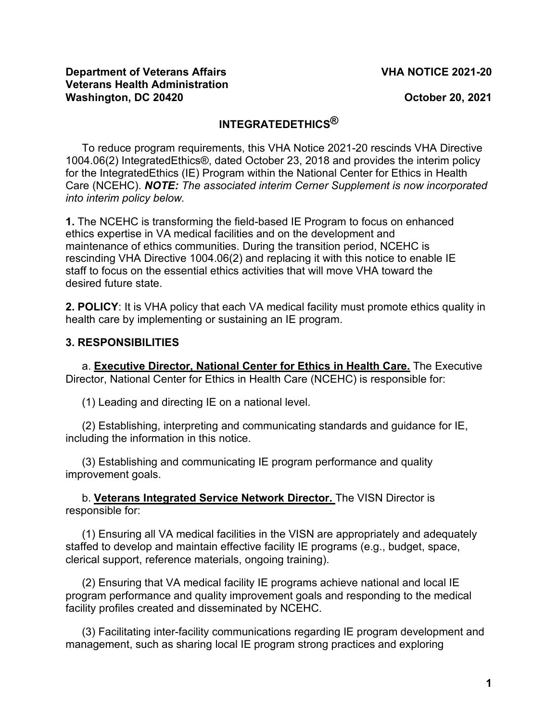#### **Department of Veterans Affairs VHA NOTICE 2021-20 Veterans Health Administration Washington, DC 20420** *October 20, 2021*

# **INTEGRATEDETHICS®**

To reduce program requirements, this VHA Notice 2021-20 rescinds VHA Directive 1004.06(2) IntegratedEthics®, dated October 23, 2018 and provides the interim policy for the IntegratedEthics (IE) Program within the National Center for Ethics in Health Care (NCEHC). *NOTE: The associated interim Cerner Supplement is now incorporated into interim policy below.*

**1.** The NCEHC is transforming the field-based IE Program to focus on enhanced ethics expertise in VA medical facilities and on the development and maintenance of ethics communities. During the transition period, NCEHC is rescinding VHA Directive 1004.06(2) and replacing it with this notice to enable IE staff to focus on the essential ethics activities that will move VHA toward the desired future state.

**2. POLICY**: It is VHA policy that each VA medical facility must promote ethics quality in health care by implementing or sustaining an IE program.

# **3. RESPONSIBILITIES**

a. **Executive Director, National Center for Ethics in Health Care.** The Executive Director, National Center for Ethics in Health Care (NCEHC) is responsible for:

(1) Leading and directing IE on a national level.

(2) Establishing, interpreting and communicating standards and guidance for IE, including the information in this notice.

(3) Establishing and communicating IE program performance and quality improvement goals.

b. **Veterans Integrated Service Network Director.** The VISN Director is responsible for:

(1) Ensuring all VA medical facilities in the VISN are appropriately and adequately staffed to develop and maintain effective facility IE programs (e.g., budget, space, clerical support, reference materials, ongoing training).

(2) Ensuring that VA medical facility IE programs achieve national and local IE program performance and quality improvement goals and responding to the medical facility profiles created and disseminated by NCEHC.

(3) Facilitating inter-facility communications regarding IE program development and management, such as sharing local IE program strong practices and exploring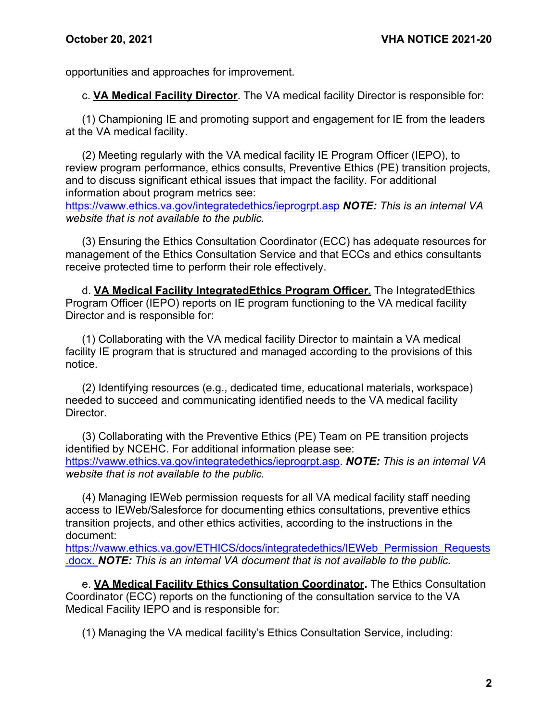opportunities and approaches for improvement.

c. **VA Medical Facility Director**. The VA medical facility Director is responsible for:

(1) Championing IE and promoting support and engagement for IE from the leaders at the VA medical facility.

(2) Meeting regularly with the VA medical facility IE Program Officer (IEPO), to review program performance, ethics consults, Preventive Ethics (PE) transition projects, and to discuss significant ethical issues that impact the facility. For additional information about program metrics see:

<https://vaww.ethics.va.gov/integratedethics/ieprogrpt.asp> *NOTE: This is an internal VA website that is not available to the public.*

(3) Ensuring the Ethics Consultation Coordinator (ECC) has adequate resources for management of the Ethics Consultation Service and that ECCs and ethics consultants receive protected time to perform their role effectively.

d. **VA Medical Facility IntegratedEthics Program Officer.** The IntegratedEthics Program Officer (IEPO) reports on IE program functioning to the VA medical facility Director and is responsible for:

(1) Collaborating with the VA medical facility Director to maintain a VA medical facility IE program that is structured and managed according to the provisions of this notice*.* 

(2) Identifying resources (e.g., dedicated time, educational materials, workspace) needed to succeed and communicating identified needs to the VA medical facility Director.

(3) Collaborating with the Preventive Ethics (PE) Team on PE transition projects identified by NCEHC. For additional information please see: [https://vaww.ethics.va.gov/integratedethics/ieprogrpt.asp.](https://vaww.ethics.va.gov/integratedethics/ieprogrpt.asp) *NOTE: This is an internal VA website that is not available to the public.*

(4) Managing IEWeb permission requests for all VA medical facility staff needing access to IEWeb/Salesforce for documenting ethics consultations, preventive ethics transition projects, and other ethics activities, according to the instructions in the document:

[https://vaww.ethics.va.gov/ETHICS/docs/integratedethics/IEWeb\\_Permission\\_Requests](https://vaww.ethics.va.gov/ETHICS/docs/integratedethics/IEWeb_Permission_Requests.docx) [.docx.](https://vaww.ethics.va.gov/ETHICS/docs/integratedethics/IEWeb_Permission_Requests.docx) *NOTE: This is an internal VA document that is not available to the public.*

e. **VA Medical Facility Ethics Consultation Coordinator.** The Ethics Consultation Coordinator (ECC) reports on the functioning of the consultation service to the VA Medical Facility IEPO and is responsible for:

(1) Managing the VA medical facility's Ethics Consultation Service, including: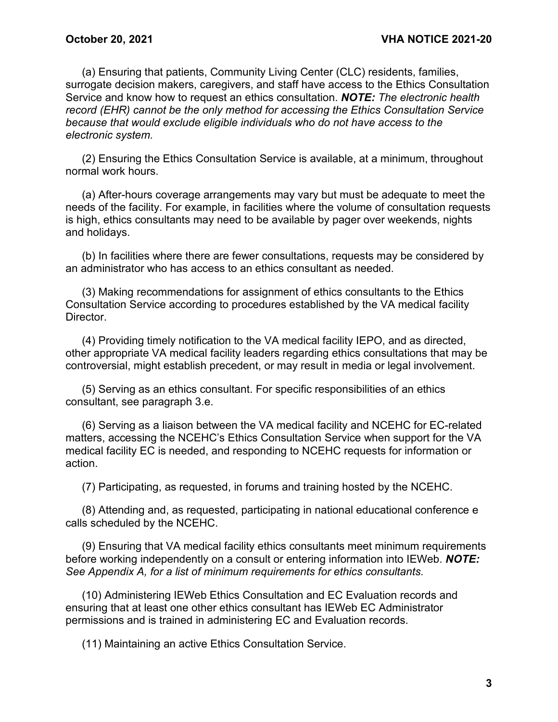(a) Ensuring that patients, Community Living Center (CLC) residents, families, surrogate decision makers, caregivers, and staff have access to the Ethics Consultation Service and know how to request an ethics consultation. *NOTE: The electronic health record (EHR) cannot be the only method for accessing the Ethics Consultation Service because that would exclude eligible individuals who do not have access to the electronic system.*

(2) Ensuring the Ethics Consultation Service is available, at a minimum, throughout normal work hours.

(a) After-hours coverage arrangements may vary but must be adequate to meet the needs of the facility. For example, in facilities where the volume of consultation requests is high, ethics consultants may need to be available by pager over weekends, nights and holidays.

(b) In facilities where there are fewer consultations, requests may be considered by an administrator who has access to an ethics consultant as needed.

(3) Making recommendations for assignment of ethics consultants to the Ethics Consultation Service according to procedures established by the VA medical facility Director.

(4) Providing timely notification to the VA medical facility IEPO, and as directed, other appropriate VA medical facility leaders regarding ethics consultations that may be controversial, might establish precedent, or may result in media or legal involvement.

(5) Serving as an ethics consultant. For specific responsibilities of an ethics consultant, see paragraph 3.e.

(6) Serving as a liaison between the VA medical facility and NCEHC for EC-related matters, accessing the NCEHC's Ethics Consultation Service when support for the VA medical facility EC is needed, and responding to NCEHC requests for information or action.

(7) Participating, as requested, in forums and training hosted by the NCEHC.

(8) Attending and, as requested, participating in national educational conference e calls scheduled by the NCEHC.

(9) Ensuring that VA medical facility ethics consultants meet minimum requirements before working independently on a consult or entering information into IEWeb. *NOTE: See Appendix A, for a list of minimum requirements for ethics consultants.*

(10) Administering IEWeb Ethics Consultation and EC Evaluation records and ensuring that at least one other ethics consultant has IEWeb EC Administrator permissions and is trained in administering EC and Evaluation records.

(11) Maintaining an active Ethics Consultation Service.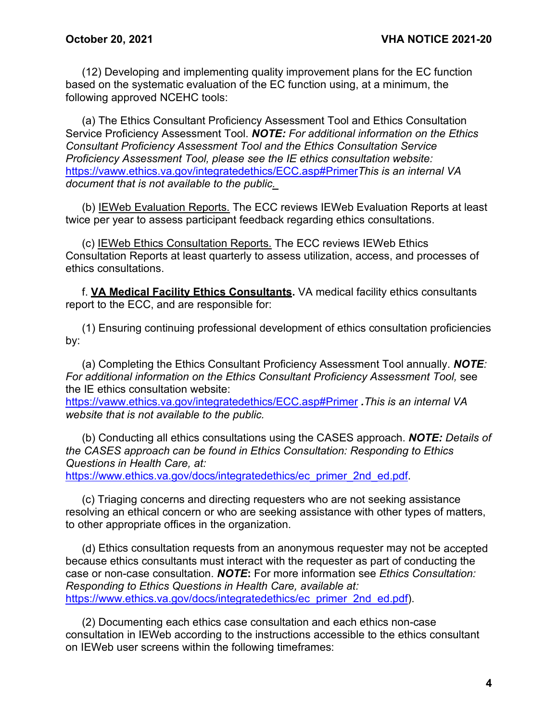(12) Developing and implementing quality improvement plans for the EC function based on the systematic evaluation of the EC function using, at a minimum, the following approved NCEHC tools:

(a) The Ethics Consultant Proficiency Assessment Tool and Ethics Consultation Service Proficiency Assessment Tool. *NOTE: For additional information on the Ethics Consultant Proficiency Assessment Tool and the Ethics Consultation Service Proficiency Assessment Tool, please see the IE ethics consultation website:* <https://vaww.ethics.va.gov/integratedethics/ECC.asp#Primer>*This is an internal VA document that is not available to the public.* 

(b) IEWeb Evaluation Reports. The ECC reviews IEWeb Evaluation Reports at least twice per year to assess participant feedback regarding ethics consultations.

(c) IEWeb Ethics Consultation Reports. The ECC reviews IEWeb Ethics Consultation Reports at least quarterly to assess utilization, access, and processes of ethics consultations.

f. **VA Medical Facility Ethics Consultants.** VA medical facility ethics consultants report to the ECC, and are responsible for:

(1) Ensuring continuing professional development of ethics consultation proficiencies by:

(a) Completing the Ethics Consultant Proficiency Assessment Tool annually. *NOTE: For additional information on the Ethics Consultant Proficiency Assessment Tool,* see the IE ethics consultation website: <https://vaww.ethics.va.gov/integratedethics/ECC.asp#Primer> *.This is an internal VA website that is not available to the public.*

(b) Conducting all ethics consultations using the CASES approach. *NOTE: Details of the CASES approach can be found in Ethics Consultation: Responding to Ethics Questions in Health Care, at:*

[https://www.ethics.va.gov/docs/integratedethics/ec\\_primer\\_2nd\\_ed.pdf.](https://www.ethics.va.gov/docs/integratedethics/ec_primer_2nd_ed.pdf)

(c) Triaging concerns and directing requesters who are not seeking assistance resolving an ethical concern or who are seeking assistance with other types of matters, to other appropriate offices in the organization.

(d) Ethics consultation requests from an anonymous requester may not be accepted because ethics consultants must interact with the requester as part of conducting the case or non-case consultation. *NOTE***:** For more information see *Ethics Consultation: Responding to Ethics Questions in Health Care, available at:* [https://www.ethics.va.gov/docs/integratedethics/ec\\_primer\\_2nd\\_ed.pdf\)](https://www.ethics.va.gov/docs/integratedethics/ec_primer_2nd_ed.pdf).

(2) Documenting each ethics case consultation and each ethics non-case consultation in IEWeb according to the instructions accessible to the ethics consultant on IEWeb user screens within the following timeframes: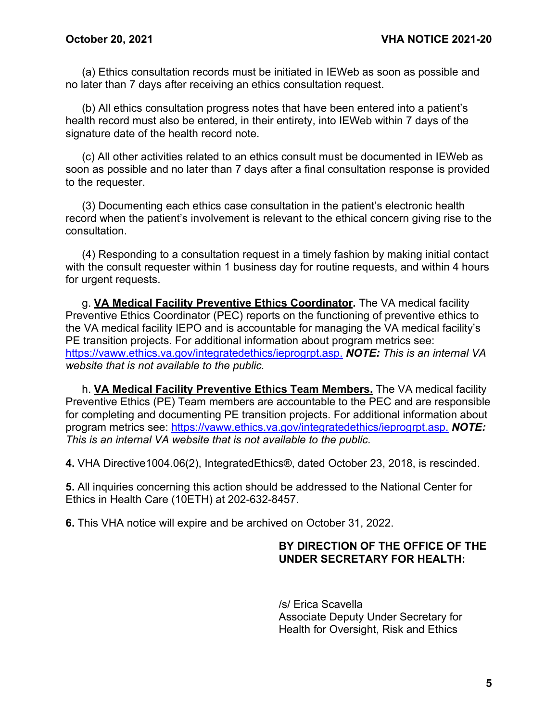(a) Ethics consultation records must be initiated in IEWeb as soon as possible and no later than 7 days after receiving an ethics consultation request.

(b) All ethics consultation progress notes that have been entered into a patient's health record must also be entered, in their entirety, into IEWeb within 7 days of the signature date of the health record note.

(c) All other activities related to an ethics consult must be documented in IEWeb as soon as possible and no later than 7 days after a final consultation response is provided to the requester.

(3) Documenting each ethics case consultation in the patient's electronic health record when the patient's involvement is relevant to the ethical concern giving rise to the consultation.

(4) Responding to a consultation request in a timely fashion by making initial contact with the consult requester within 1 business day for routine requests, and within 4 hours for urgent requests.

g. **VA Medical Facility Preventive Ethics Coordinator.** The VA medical facility Preventive Ethics Coordinator (PEC) reports on the functioning of preventive ethics to the VA medical facility IEPO and is accountable for managing the VA medical facility's PE transition projects. For additional information about program metrics see: [https://vaww.ethics.va.gov/integratedethics/ieprogrpt.asp.](https://vaww.ethics.va.gov/integratedethics/ieprogrpt.asp) *NOTE: This is an internal VA website that is not available to the public.*

h. **VA Medical Facility Preventive Ethics Team Members.** The VA medical facility Preventive Ethics (PE) Team members are accountable to the PEC and are responsible for completing and documenting PE transition projects. For additional information about program metrics see: [https://vaww.ethics.va.gov/integratedethics/ieprogrpt.asp.](https://vaww.ethics.va.gov/integratedethics/ieprogrpt.asp) *NOTE: This is an internal VA website that is not available to the public.*

**4.** VHA Directive1004.06(2), IntegratedEthics®, dated October 23, 2018, is rescinded.

**5.** All inquiries concerning this action should be addressed to the National Center for Ethics in Health Care (10ETH) at 202-632-8457.

**6.** This VHA notice will expire and be archived on October 31, 2022.

## **BY DIRECTION OF THE OFFICE OF THE UNDER SECRETARY FOR HEALTH:**

/s/ Erica Scavella Associate Deputy Under Secretary for Health for Oversight, Risk and Ethics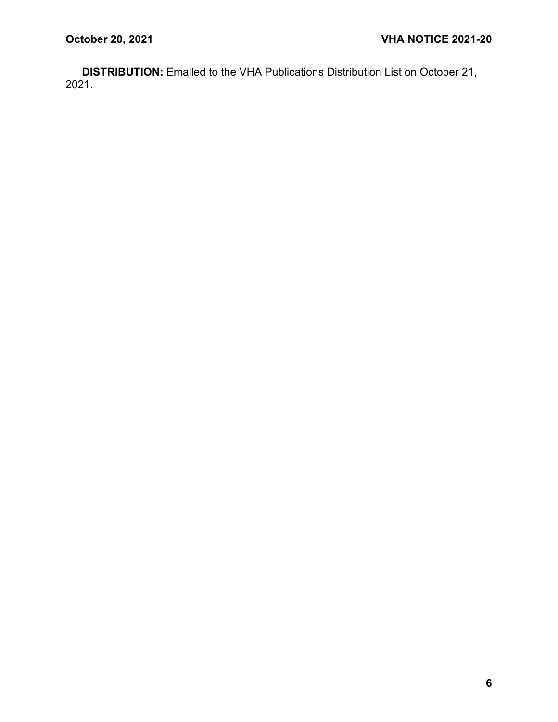**DISTRIBUTION:** Emailed to the VHA Publications Distribution List on October 21, 2021.